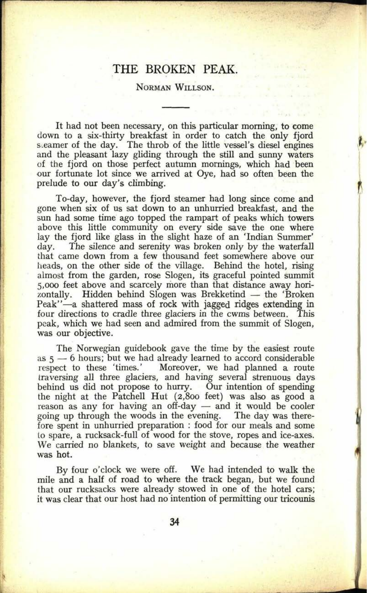## THE BROKEN PEAK.

## NORMAN WILLSON.

It had not been necessary, on this particular morning, to come down to a six-thirty breakfast in order to catch the only fjord steamer of the day. The throb of the little vessel's diesel engines and the pleasant lazy gliding through the still and sunny waters of the fjord on those perfect autumn mornings, which had been our fortunate lot since we arrived at Oye, had so often been the prelude to our day's climbing.

To-day, however, the fjord steamer had long since come and gone when six of us sat down to an unhurried breakfast, and the sun had some time ago topped the rampart of peaks which towers above this little community on every side save the one where lay the fjord like glass in the slight haze of an 'Indian Summer' The silence and serenity was broken only by the waterfall that came down from a few thousand feet somewhere above our heads, on the other side of the village. Behind the hotel, rising almost from the garden, rose Slogen, its graceful pointed summit 5,000 feet above and scarcely more than that distance away hori-Hidden behind Slogen was Brekketind — the 'Broken Peak"-a shattered mass of rock with jagged ridges extending in four directions to cradle three glaciers in the cwms between. This peak, which we had seen and admired from the summit of Slogen, was our objective.

The Norwegian guidebook gave the time by the easiest route as  $5 - 6$  hours; but we had already learned to accord considerable respect to these 'times.' Moreover, we had planned a route Moreover, we had planned a route traversing all three glaciers, and having several strenuous days behind us did not propose to hurry. Our intention of spending the night at the Patchell Hut (2,800 feet) was also as good <sup>a</sup> reason as any for having an off-day  $-$  and it would be cooler going up through the woods in the evening. The day was therefore spent in unhurried preparation : food for our meals and some to spare, a rucksack-full of wood for the stove, ropes and ice-axes. We carried no blankets, to save weight and because the weather was hot.

By four o'clock we were off. We had intended to walk the mile and a half of road to where the track began, but we found that our rucksacks were already stowed in one of the hotel cars; it was clear that our host had no intention of permitting our tricounis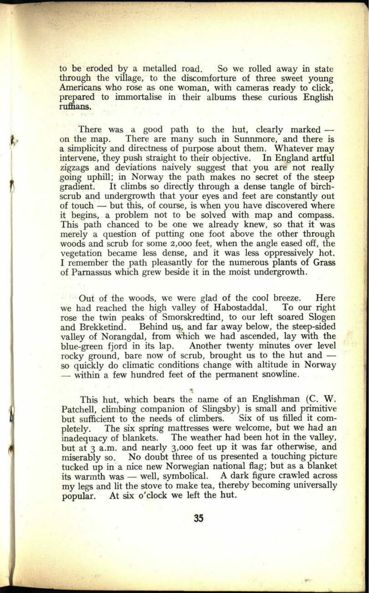to be eroded by a metalled road. So we rolled away in state through the village, to the discomforture of three sweet young Americans who rose as one woman, with cameras ready to click, prepared to immortalise in their albums these curious English ruffians.

There was a good path to the hut, clearly marked —<br>on the map. There are many such in Sunnmore, and there is There are many such in Sunnmore, and there is a simplicity and directness of purpose about them. Whatever may intervene, they push straight to their objective. In England artful zigzags and deviations naively suggest that you are not really going uphill; in Norway the path makes no secret of the steep gradient. It climbs so directly through a dense tangle of birch-It climbs so directly through a dense tangle of birchscrub and undergrowth that your eyes and feet are constantly out of touch - but this, of course, is when you have discovered where it begins, a problem not to be solved with map and compass. This path chanced to be one we already knew, so that it was merely a question of putting one foot above the other through woods and scrub for some 2,000 feet, when the angle eased off, the vegetation became less dense, and it was less oppressively hot. I remember the path pleasantly for the numerous plants of Grass of Parnassus which grew beside it in the moist undergrowth.

Out of the woods, we were glad of the cool breeze. Here<br>we had reached the high valley of Habostaddal. To our right we had reached the high valley of Habostaddal. rose the twin peaks of Smorskredtind, to our left soared Slogen and Brekketind. Behind us, and far away below, the steep-sided valley of Norangdal, from which we had ascended, lay with the blue-green fjord in its lap. Another twenty minutes over level rocky ground, bare now of scrub, brought us to the hut and so quickly do climatic conditions change with altitude in Norway within a few hundred feet of the permanent snowline.

This hut, which bears the name of an Englishman (C. W. Patchell, climbing companion of Slingsby) is small and primitive<br>but sufficient to the needs of climbers. Six of us filled it combut sufficient to the needs of climbers. pletely. The six spring mattresses were welcome, but we had an inadequacy of blankets. The weather had been hot in the valley, but at 3 a.m. and nearly 3,000 feet up it was far otherwise, and miserably so. No doubt three of us presented a touching picture tucked up in a nice new Norwegian national flag; but as a blanket its warmth was — well, symbolical. A dark figure crawled across my legs and lit the stove to make tea, thereby becoming universally popular. At six o'clock we left the hut.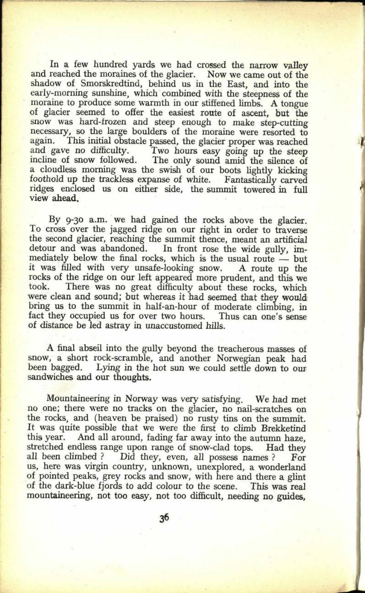In a few hundred yards we had crossed the narrow valley and reached the moraines of the glacier. Now we came out of the shadow of Smorskredtind, behind us in the East, and into the early-morning sunshine, which combined with the steepness of the moraine to produce some warmth in our stiffened limbs. A tongue of glacier seemed to offer the easiest route of ascent, but the snow was hard-frozen and steep enough to make step-cutting necessary, so the large boulders of the moraine were resorted to again. This initial obstacle passed, the glacier proper was reached again. This initial obstacle passed, the glacier proper was reached<br>and gave no difficulty. Two hours easy going up the steep and gave no difficulty. Two hours easy going up the steep incline of snow followed. The only sound amid the silence of a cloudless morning was the swish of our boots lightly kicking foothold up the trackless expanse of white. Fantastically carved ridges enclosed us on either side, the summit towered in full view ahead.

By 9-30 a.m. we had gained the rocks above the glacier. To cross over the jagged ridge on our right in order to traverse the second glacier, reaching the summit thence, meant an artificial detour and was abandoned. In front rose the wide gully, immediately below the final rocks, which is the usual route  $-$  but it was filled with very unsafe-looking snow. A route up the rocks of the ridge on our left appeared more prudent, and this we took. There was no great difficulty about these rocks, which There was no great difficulty about these rocks, which were clean and sound; but whereas it had seemed that they would' bring us to the summit in half-an-hour of moderate climbing, in fact they occupied us for over two hours. Thus can one's sense of distance be led astray in unaccustomed hills.

A final abseil into the gully beyond the treacherous masses of snow, a short rock-scramble, and another Norwegian peak had been bagged. Lying in the hot sun we could settle down to our sandwiches and our thoughts.

Mountaineering in Norway was very satisfying. We had met no one; there were no tracks on the glacier, no nail-scratches on the rocks, and (heaven be praised) no rusty tins on the summit. It was quite possible that we were the first to climb Brekketind this year. And all around, fading far away into the autumn haze, stretched endless range upon range of snow-clad tops. Had they stretched endless range upon range of snow-clad tops.<br>all been climbed ? Did they, even, all possess nan Did they, even, all possess names ? For us, here was virgin country, unknown, unexplored, a wonderland of pointed peaks, grey rocks and snow, with here and there <sup>a</sup>glint of the dark-blue fjords to add colour to the scene. This was real mountaineering, not too easy, not too difficult, needing no guides,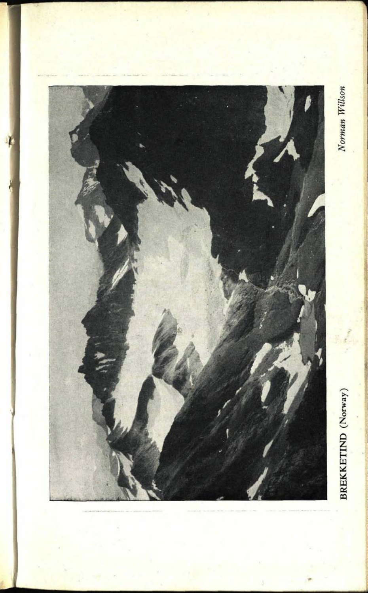

**51. 0201**

J.

Norman Willson

## **BREKKETIND** (Norway) *Norman Willson*BREKKETIND (Norway)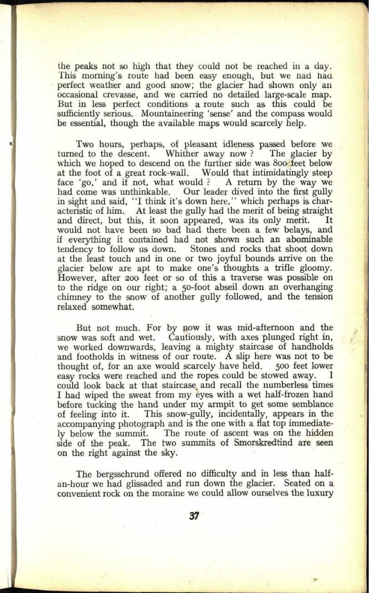the peaks not so high that they could not be reached in a day. This morning's route had been easy enough, but we had had perfect weather and good snow; the glacier had shown only an occasional crevasse, and we carried no detailed large-scale map. But in less perfect conditions a route such as this could be sufficiently serious. Mountaineering 'sense' and the compass would be essential, though the available maps would scarcely help.

Two hours, perhaps, of pleasant idleness passed before we turned to the descent. Whither away now? The glacier by Whither away now ?  $\overline{\ }$ which we hoped to descend on the further side was 800 feet below at the foot of a great rock-wall. Would that intimidatingly steep face 'go,' and if not, what would ? A return by the way we face 'go,' and if not, what would ? had come was unthinkable. Our leader dived into the first gully in sight and said, "I think it's down here," which perhaps is characteristic of him. At least the gully had the merit of being straight<br>and direct, but this, it soon appeared, was its only merit. It and direct, but this, it soon appeared, was its only merit. would not have been so bad had there been a few belays, and if everything it contained had not shown such an abominable Stones and rocks that shoot down. at the least touch and in one or two joyful bounds arrive on the glacier below are apt to make one's thoughts a trifle gloomy. However, after 200 feet or so of this a traverse was possible on to the ridge on our right; a 50-foot abseil down an overhanging chimney to the snow of another gully followed, and the tension relaxed somewhat.

But not much. For by now it was mid-afternoon and the snow was soft and wet. Cautiously, with axes plunged right in, we worked downwards, leaving a mighty staircase of handholds and footholds in witness of our route. A slip here was not to be thought of, for an axe would scarcely have held. 500 feet lower easy rocks were reached and the ropes could be stowed away. could look back at that staircase, and recall the numberless times I had wiped the sweat from my eyes with a wet half-frozen hand before tucking the hand under my armpit to get some semblance of feeling into it. This snow-gully, incidentally, appears in the accompanying photograph and is the one with a flat top immediately below the summit. The route of ascent was on the hidden side of the peak. The two summits of Smorskredtind are seen on the right against the sky.

The bergsschrund offered no difficulty and in less than halfan-hour we had glissaded and run down the glacier. Seated on <sup>a</sup> convenient rock on the moraine we could allow ourselves the luxury